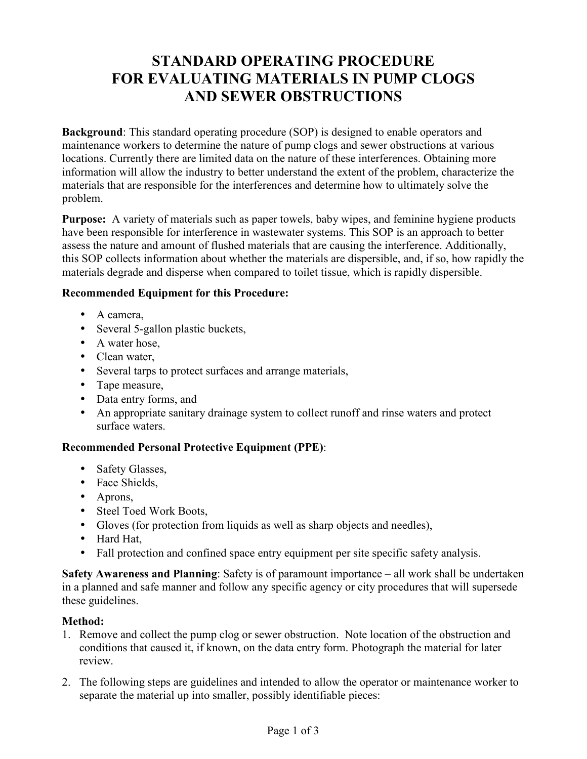# **STANDARD OPERATING PROCEDURE FOR EVALUATING MATERIALS IN PUMP CLOGS AND SEWER OBSTRUCTIONS**

**Background**: This standard operating procedure (SOP) is designed to enable operators and maintenance workers to determine the nature of pump clogs and sewer obstructions at various locations. Currently there are limited data on the nature of these interferences. Obtaining more information will allow the industry to better understand the extent of the problem, characterize the materials that are responsible for the interferences and determine how to ultimately solve the problem.

**Purpose:** A variety of materials such as paper towels, baby wipes, and feminine hygiene products have been responsible for interference in wastewater systems. This SOP is an approach to better assess the nature and amount of flushed materials that are causing the interference. Additionally, this SOP collects information about whether the materials are dispersible, and, if so, how rapidly the materials degrade and disperse when compared to toilet tissue, which is rapidly dispersible.

## **Recommended Equipment for this Procedure:**

- A camera,
- Several 5-gallon plastic buckets,
- A water hose,
- Clean water,
- Several tarps to protect surfaces and arrange materials,
- Tape measure,
- Data entry forms, and
- An appropriate sanitary drainage system to collect runoff and rinse waters and protect surface waters.

### **Recommended Personal Protective Equipment (PPE)**:

- Safety Glasses,
- Face Shields,
- Aprons,
- Steel Toed Work Boots,
- Gloves (for protection from liquids as well as sharp objects and needles),
- Hard Hat,
- Fall protection and confined space entry equipment per site specific safety analysis.

**Safety Awareness and Planning**: Safety is of paramount importance – all work shall be undertaken in a planned and safe manner and follow any specific agency or city procedures that will supersede these guidelines.

### **Method:**

- 1. Remove and collect the pump clog or sewer obstruction. Note location of the obstruction and conditions that caused it, if known, on the data entry form. Photograph the material for later review.
- 2. The following steps are guidelines and intended to allow the operator or maintenance worker to separate the material up into smaller, possibly identifiable pieces: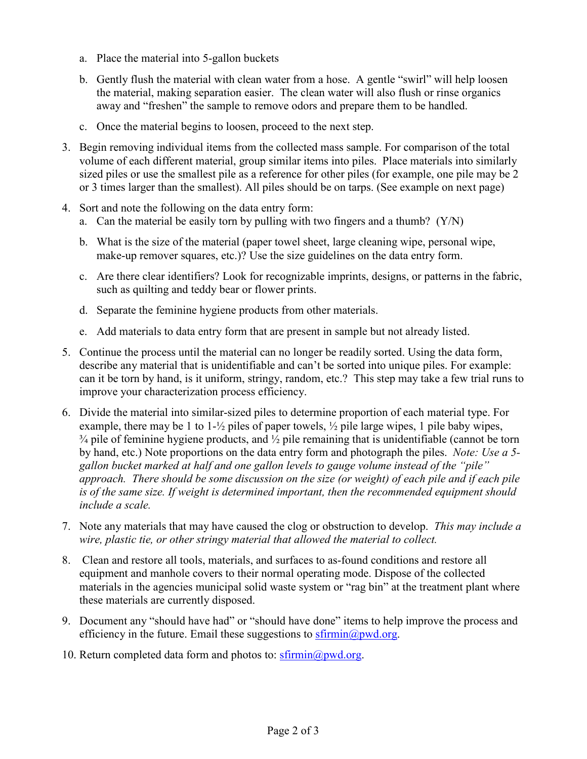- a. Place the material into 5-gallon buckets
- b. Gently flush the material with clean water from a hose. A gentle "swirl" will help loosen the material, making separation easier. The clean water will also flush or rinse organics away and "freshen" the sample to remove odors and prepare them to be handled.
- c. Once the material begins to loosen, proceed to the next step.
- 3. Begin removing individual items from the collected mass sample. For comparison of the total volume of each different material, group similar items into piles. Place materials into similarly sized piles or use the smallest pile as a reference for other piles (for example, one pile may be 2 or 3 times larger than the smallest). All piles should be on tarps. (See example on next page)
- 4. Sort and note the following on the data entry form:
	- a. Can the material be easily torn by pulling with two fingers and a thumb? (Y/N)
	- b. What is the size of the material (paper towel sheet, large cleaning wipe, personal wipe, make-up remover squares, etc.)? Use the size guidelines on the data entry form.
	- c. Are there clear identifiers? Look for recognizable imprints, designs, or patterns in the fabric, such as quilting and teddy bear or flower prints.
	- d. Separate the feminine hygiene products from other materials.
	- e. Add materials to data entry form that are present in sample but not already listed.
- 5. Continue the process until the material can no longer be readily sorted. Using the data form, describe any material that is unidentifiable and can't be sorted into unique piles. For example: can it be torn by hand, is it uniform, stringy, random, etc.? This step may take a few trial runs to improve your characterization process efficiency.
- 6. Divide the material into similar-sized piles to determine proportion of each material type. For example, there may be 1 to 1-½ piles of paper towels, ½ pile large wipes, 1 pile baby wipes,  $\frac{3}{4}$  pile of feminine hygiene products, and  $\frac{1}{2}$  pile remaining that is unidentifiable (cannot be torn by hand, etc.) Note proportions on the data entry form and photograph the piles. *Note: Use a 5 gallon bucket marked at half and one gallon levels to gauge volume instead of the "pile" approach. There should be some discussion on the size (or weight) of each pile and if each pile is of the same size. If weight is determined important, then the recommended equipment should include a scale.*
- 7. Note any materials that may have caused the clog or obstruction to develop. *This may include a wire, plastic tie, or other stringy material that allowed the material to collect.*
- 8. Clean and restore all tools, materials, and surfaces to as-found conditions and restore all equipment and manhole covers to their normal operating mode. Dispose of the collected materials in the agencies municipal solid waste system or "rag bin" at the treatment plant where these materials are currently disposed.
- 9. Document any "should have had" or "should have done" items to help improve the process and efficiency in the future. Email these suggestions to  $s$ firmin $\omega$  *pwd.org.*
- 10. Return completed data form and photos to: sfirmin@pwd.org.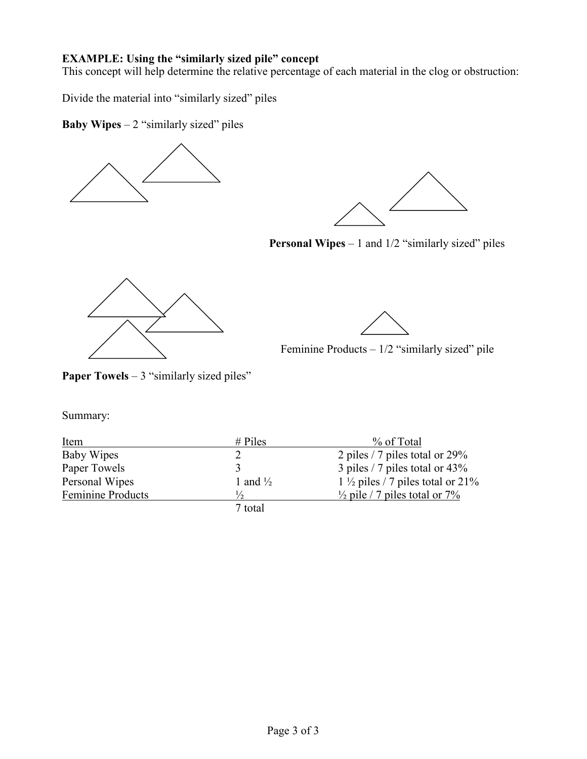# **EXAMPLE: Using the "similarly sized pile" concept**

This concept will help determine the relative percentage of each material in the clog or obstruction:

Divide the material into "similarly sized" piles

**Baby Wipes** – 2 "similarly sized" piles





**Personal Wipes** – 1 and 1/2 "similarly sized" piles





Feminine Products – 1/2 "similarly sized" pile

**Paper Towels** – 3 "similarly sized piles"

Summary:

| Item                     | $#$ Piles           | % of Total                                   |
|--------------------------|---------------------|----------------------------------------------|
| Baby Wipes               |                     | 2 piles / 7 piles total or $29\%$            |
| Paper Towels             |                     | 3 piles / 7 piles total or $43\%$            |
| Personal Wipes           | 1 and $\frac{1}{2}$ | 1 $\frac{1}{2}$ piles / 7 piles total or 21% |
| <b>Feminine Products</b> | $\frac{1}{2}$       | $\frac{1}{2}$ pile / 7 piles total or 7%     |
|                          | 7 total             |                                              |